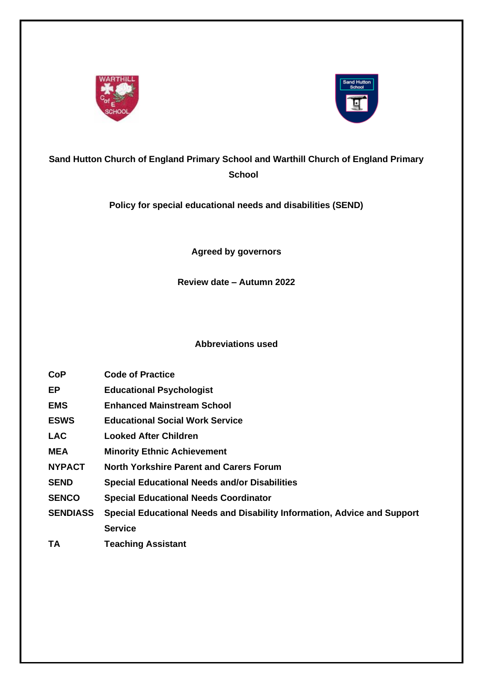



## **Sand Hutton Church of England Primary School and Warthill Church of England Primary School**

**Policy for special educational needs and disabilities (SEND)**

**Agreed by governors**

**Review date – Autumn 2022**

**Abbreviations used**

- **CoP Code of Practice**
- **EP Educational Psychologist**
- **EMS Enhanced Mainstream School**
- **ESWS Educational Social Work Service**
- **LAC Looked After Children**
- **MEA Minority Ethnic Achievement**
- **NYPACT North Yorkshire Parent and Carers Forum**
- **SEND Special Educational Needs and/or Disabilities**
- **SENCO Special Educational Needs Coordinator**
- **SENDIASS Special Educational Needs and Disability Information, Advice and Support Service**
- **TA Teaching Assistant**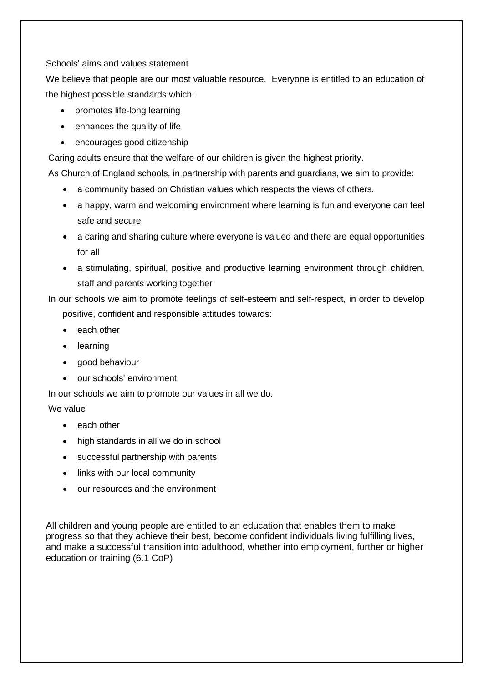#### Schools' aims and values statement

We believe that people are our most valuable resource. Everyone is entitled to an education of the highest possible standards which:

- promotes life-long learning
- enhances the quality of life
- encourages good citizenship

Caring adults ensure that the welfare of our children is given the highest priority.

As Church of England schools, in partnership with parents and guardians, we aim to provide:

- a community based on Christian values which respects the views of others.
- a happy, warm and welcoming environment where learning is fun and everyone can feel safe and secure
- a caring and sharing culture where everyone is valued and there are equal opportunities for all
- a stimulating, spiritual, positive and productive learning environment through children, staff and parents working together

In our schools we aim to promote feelings of self-esteem and self-respect, in order to develop positive, confident and responsible attitudes towards:

- each other
- learning
- good behaviour
- our schools' environment

In our schools we aim to promote our values in all we do.

## We value

- each other
- high standards in all we do in school
- successful partnership with parents
- links with our local community
- our resources and the environment

All children and young people are entitled to an education that enables them to make progress so that they achieve their best, become confident individuals living fulfilling lives, and make a successful transition into adulthood, whether into employment, further or higher education or training (6.1 CoP)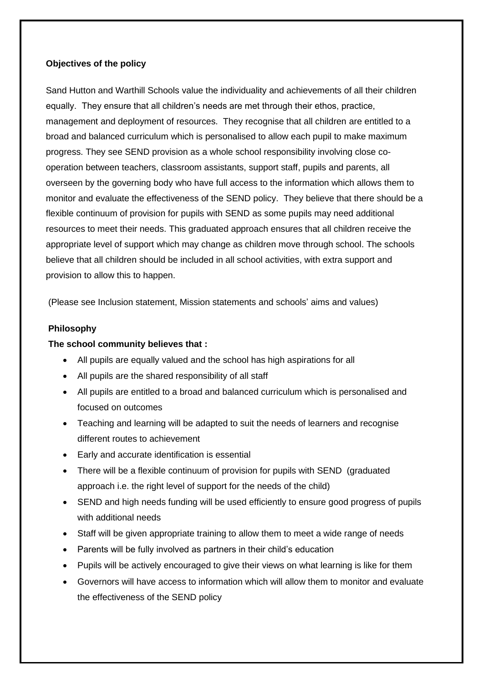#### **Objectives of the policy**

Sand Hutton and Warthill Schools value the individuality and achievements of all their children equally. They ensure that all children's needs are met through their ethos, practice, management and deployment of resources. They recognise that all children are entitled to a broad and balanced curriculum which is personalised to allow each pupil to make maximum progress. They see SEND provision as a whole school responsibility involving close cooperation between teachers, classroom assistants, support staff, pupils and parents, all overseen by the governing body who have full access to the information which allows them to monitor and evaluate the effectiveness of the SEND policy. They believe that there should be a flexible continuum of provision for pupils with SEND as some pupils may need additional resources to meet their needs. This graduated approach ensures that all children receive the appropriate level of support which may change as children move through school. The schools believe that all children should be included in all school activities, with extra support and provision to allow this to happen.

(Please see Inclusion statement, Mission statements and schools' aims and values)

#### **Philosophy**

#### **The school community believes that :**

- All pupils are equally valued and the school has high aspirations for all
- All pupils are the shared responsibility of all staff
- All pupils are entitled to a broad and balanced curriculum which is personalised and focused on outcomes
- Teaching and learning will be adapted to suit the needs of learners and recognise different routes to achievement
- Early and accurate identification is essential
- There will be a flexible continuum of provision for pupils with SEND (graduated approach i.e. the right level of support for the needs of the child)
- SEND and high needs funding will be used efficiently to ensure good progress of pupils with additional needs
- Staff will be given appropriate training to allow them to meet a wide range of needs
- Parents will be fully involved as partners in their child's education
- Pupils will be actively encouraged to give their views on what learning is like for them
- Governors will have access to information which will allow them to monitor and evaluate the effectiveness of the SEND policy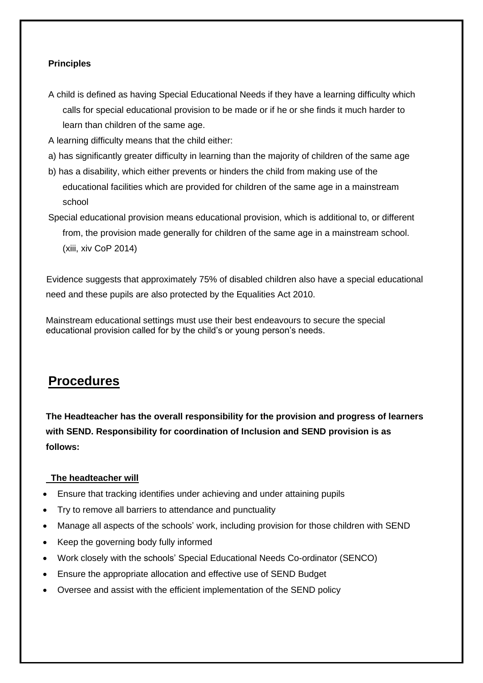## **Principles**

- A child is defined as having Special Educational Needs if they have a learning difficulty which calls for special educational provision to be made or if he or she finds it much harder to learn than children of the same age.
- A learning difficulty means that the child either:
- a) has significantly greater difficulty in learning than the majority of children of the same age
- b) has a disability, which either prevents or hinders the child from making use of the educational facilities which are provided for children of the same age in a mainstream school
- Special educational provision means educational provision, which is additional to, or different from, the provision made generally for children of the same age in a mainstream school. (xiii, xiv CoP 2014)

Evidence suggests that approximately 75% of disabled children also have a special educational need and these pupils are also protected by the Equalities Act 2010.

Mainstream educational settings must use their best endeavours to secure the special educational provision called for by the child's or young person's needs.

# **Procedures**

**The Headteacher has the overall responsibility for the provision and progress of learners with SEND. Responsibility for coordination of Inclusion and SEND provision is as follows:**

### **The headteacher will**

- Ensure that tracking identifies under achieving and under attaining pupils
- Try to remove all barriers to attendance and punctuality
- Manage all aspects of the schools' work, including provision for those children with SEND
- Keep the governing body fully informed
- Work closely with the schools' Special Educational Needs Co-ordinator (SENCO)
- Ensure the appropriate allocation and effective use of SEND Budget
- Oversee and assist with the efficient implementation of the SEND policy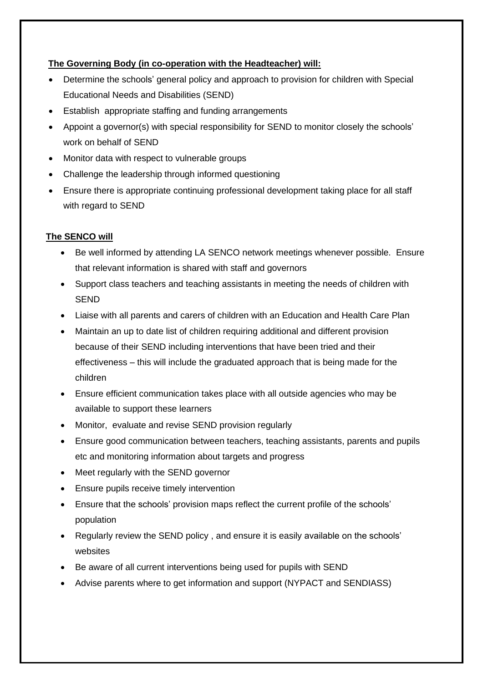## **The Governing Body (in co-operation with the Headteacher) will:**

- Determine the schools' general policy and approach to provision for children with Special Educational Needs and Disabilities (SEND)
- Establish appropriate staffing and funding arrangements
- Appoint a governor(s) with special responsibility for SEND to monitor closely the schools' work on behalf of SEND
- Monitor data with respect to vulnerable groups
- Challenge the leadership through informed questioning
- Ensure there is appropriate continuing professional development taking place for all staff with regard to SEND

## **The SENCO will**

- Be well informed by attending LA SENCO network meetings whenever possible. Ensure that relevant information is shared with staff and governors
- Support class teachers and teaching assistants in meeting the needs of children with **SEND**
- Liaise with all parents and carers of children with an Education and Health Care Plan
- Maintain an up to date list of children requiring additional and different provision because of their SEND including interventions that have been tried and their effectiveness – this will include the graduated approach that is being made for the children
- Ensure efficient communication takes place with all outside agencies who may be available to support these learners
- Monitor, evaluate and revise SEND provision regularly
- Ensure good communication between teachers, teaching assistants, parents and pupils etc and monitoring information about targets and progress
- Meet regularly with the SEND governor
- Ensure pupils receive timely intervention
- Ensure that the schools' provision maps reflect the current profile of the schools' population
- Regularly review the SEND policy , and ensure it is easily available on the schools' websites
- Be aware of all current interventions being used for pupils with SEND
- Advise parents where to get information and support (NYPACT and SENDIASS)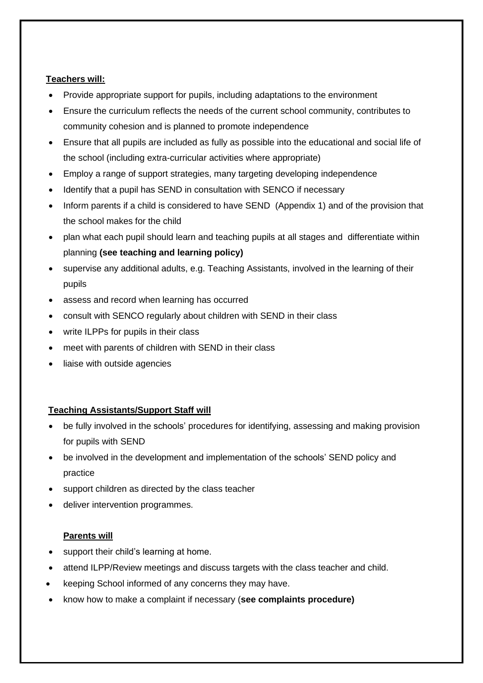## **Teachers will:**

- Provide appropriate support for pupils, including adaptations to the environment
- Ensure the curriculum reflects the needs of the current school community, contributes to community cohesion and is planned to promote independence
- Ensure that all pupils are included as fully as possible into the educational and social life of the school (including extra-curricular activities where appropriate)
- Employ a range of support strategies, many targeting developing independence
- Identify that a pupil has SEND in consultation with SENCO if necessary
- Inform parents if a child is considered to have SEND (Appendix 1) and of the provision that the school makes for the child
- plan what each pupil should learn and teaching pupils at all stages and differentiate within planning **(see teaching and learning policy)**
- supervise any additional adults, e.g. Teaching Assistants, involved in the learning of their pupils
- assess and record when learning has occurred
- consult with SENCO regularly about children with SEND in their class
- write ILPPs for pupils in their class
- meet with parents of children with SEND in their class
- liaise with outside agencies

### **Teaching Assistants/Support Staff will**

- be fully involved in the schools' procedures for identifying, assessing and making provision for pupils with SEND
- be involved in the development and implementation of the schools' SEND policy and practice
- support children as directed by the class teacher
- deliver intervention programmes.

### **Parents will**

- support their child's learning at home.
- attend ILPP/Review meetings and discuss targets with the class teacher and child.
- keeping School informed of any concerns they may have.
- know how to make a complaint if necessary (**see complaints procedure)**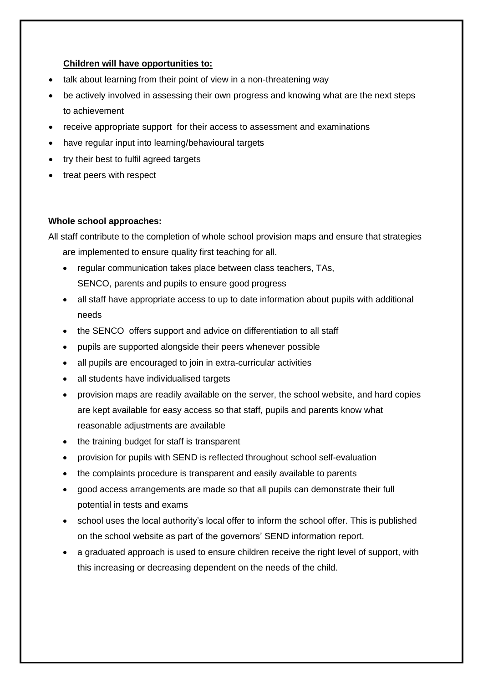### **Children will have opportunities to:**

- talk about learning from their point of view in a non-threatening way
- be actively involved in assessing their own progress and knowing what are the next steps to achievement
- receive appropriate support for their access to assessment and examinations
- have regular input into learning/behavioural targets
- try their best to fulfil agreed targets
- treat peers with respect

## **Whole school approaches:**

All staff contribute to the completion of whole school provision maps and ensure that strategies are implemented to ensure quality first teaching for all.

- regular communication takes place between class teachers, TAs, SENCO, parents and pupils to ensure good progress
- all staff have appropriate access to up to date information about pupils with additional needs
- the SENCO offers support and advice on differentiation to all staff
- pupils are supported alongside their peers whenever possible
- all pupils are encouraged to join in extra-curricular activities
- all students have individualised targets
- provision maps are readily available on the server, the school website, and hard copies are kept available for easy access so that staff, pupils and parents know what reasonable adjustments are available
- the training budget for staff is transparent
- provision for pupils with SEND is reflected throughout school self-evaluation
- the complaints procedure is transparent and easily available to parents
- good access arrangements are made so that all pupils can demonstrate their full potential in tests and exams
- school uses the local authority's local offer to inform the school offer. This is published on the school website as part of the governors' SEND information report.
- a graduated approach is used to ensure children receive the right level of support, with this increasing or decreasing dependent on the needs of the child.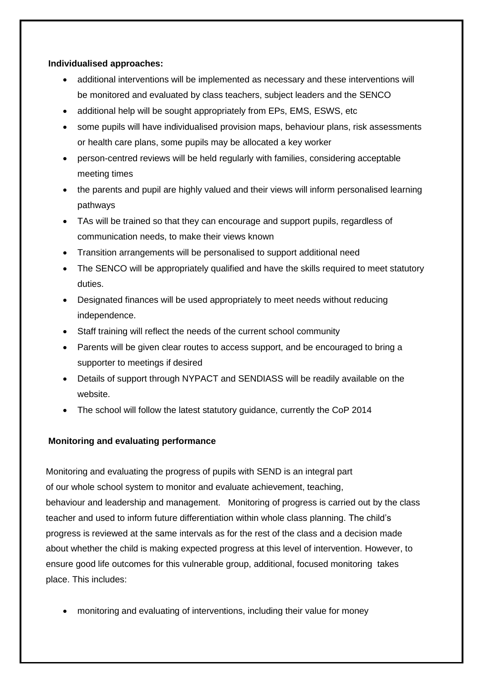### **Individualised approaches:**

- additional interventions will be implemented as necessary and these interventions will be monitored and evaluated by class teachers, subject leaders and the SENCO
- additional help will be sought appropriately from EPs, EMS, ESWS, etc
- some pupils will have individualised provision maps, behaviour plans, risk assessments or health care plans, some pupils may be allocated a key worker
- person-centred reviews will be held regularly with families, considering acceptable meeting times
- the parents and pupil are highly valued and their views will inform personalised learning pathways
- TAs will be trained so that they can encourage and support pupils, regardless of communication needs, to make their views known
- Transition arrangements will be personalised to support additional need
- The SENCO will be appropriately qualified and have the skills required to meet statutory duties.
- Designated finances will be used appropriately to meet needs without reducing independence.
- Staff training will reflect the needs of the current school community
- Parents will be given clear routes to access support, and be encouraged to bring a supporter to meetings if desired
- Details of support through NYPACT and SENDIASS will be readily available on the website.
- The school will follow the latest statutory guidance, currently the CoP 2014

## **Monitoring and evaluating performance**

Monitoring and evaluating the progress of pupils with SEND is an integral part of our whole school system to monitor and evaluate achievement, teaching, behaviour and leadership and management. Monitoring of progress is carried out by the class teacher and used to inform future differentiation within whole class planning. The child's progress is reviewed at the same intervals as for the rest of the class and a decision made about whether the child is making expected progress at this level of intervention. However, to ensure good life outcomes for this vulnerable group, additional, focused monitoring takes place. This includes:

• monitoring and evaluating of interventions, including their value for money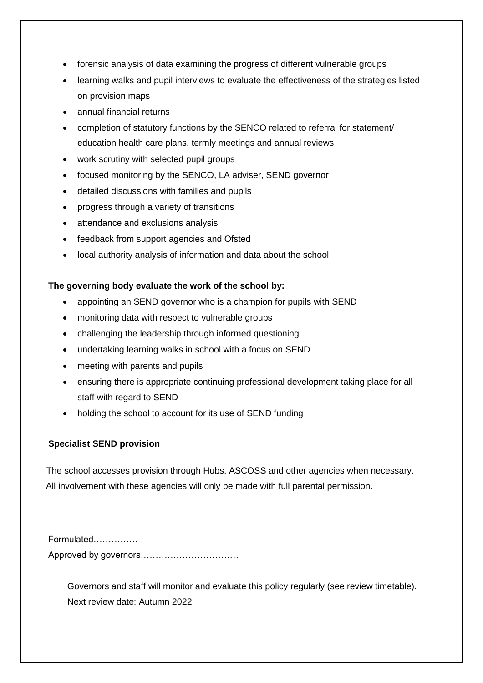- forensic analysis of data examining the progress of different vulnerable groups
- learning walks and pupil interviews to evaluate the effectiveness of the strategies listed on provision maps
- annual financial returns
- completion of statutory functions by the SENCO related to referral for statement/ education health care plans, termly meetings and annual reviews
- work scrutiny with selected pupil groups
- focused monitoring by the SENCO, LA adviser, SEND governor
- detailed discussions with families and pupils
- progress through a variety of transitions
- attendance and exclusions analysis
- feedback from support agencies and Ofsted
- local authority analysis of information and data about the school

## **The governing body evaluate the work of the school by:**

- appointing an SEND governor who is a champion for pupils with SEND
- monitoring data with respect to vulnerable groups
- challenging the leadership through informed questioning
- undertaking learning walks in school with a focus on SEND
- meeting with parents and pupils
- ensuring there is appropriate continuing professional development taking place for all staff with regard to SEND
- holding the school to account for its use of SEND funding

## **Specialist SEND provision**

The school accesses provision through Hubs, ASCOSS and other agencies when necessary. All involvement with these agencies will only be made with full parental permission.

Formulated…………… Approved by governors……………………………

> Governors and staff will monitor and evaluate this policy regularly (see review timetable). Next review date: Autumn 2022